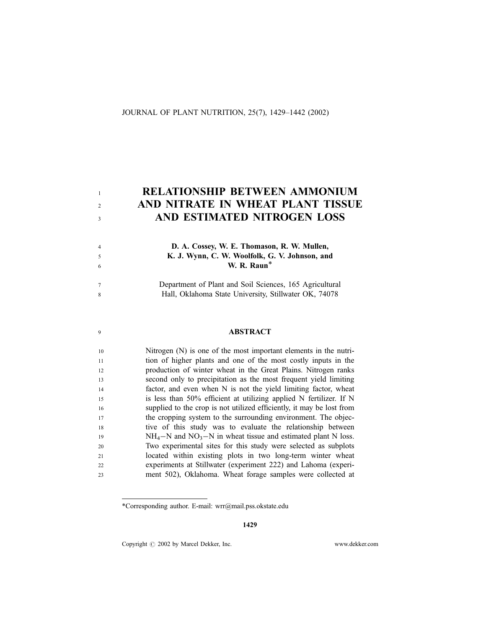### JOURNAL OF PLANT NUTRITION, 25(7), 1429–1442 (2002)

1  $\overline{2}$ 3

4 5 6

7 8

9

# RELATIONSHIP BETWEEN AMMONIUM AND NITRATE IN WHEAT PLANT TISSUE AND ESTIMATED NITROGEN LOSS

## D. A. Cossey, W. E. Thomason, R. W. Mullen, K. J. Wynn, C. W. Woolfolk, G. V. Johnson, and W. R. Raun\*

Department of Plant and Soil Sciences, 165 Agricultural Hall, Oklahoma State University, Stillwater OK, 74078

# ABSTRACT

Nitrogen (N) is one of the most important elements in the nutrition of higher plants and one of the most costly inputs in the production of winter wheat in the Great Plains. Nitrogen ranks second only to precipitation as the most frequent yield limiting factor, and even when N is not the yield limiting factor, wheat is less than 50% efficient at utilizing applied N fertilizer. If N supplied to the crop is not utilized efficiently, it may be lost from the cropping system to the surrounding environment. The objective of this study was to evaluate the relationship between  $NH_4-N$  and  $NO_3-N$  in wheat tissue and estimated plant N loss. Two experimental sites for this study were selected as subplots located within existing plots in two long-term winter wheat experiments at Stillwater (experiment 222) and Lahoma (experiment 502), Oklahoma. Wheat forage samples were collected at 10 11  $12$ 13 14 15 16 17 18 19 20 21 22 23

\*Corresponding author. E-mail: wrr@mail.pss.okstate.edu

Copyright  $\odot$  2002 by Marcel Dekker, Inc. www.dekker.com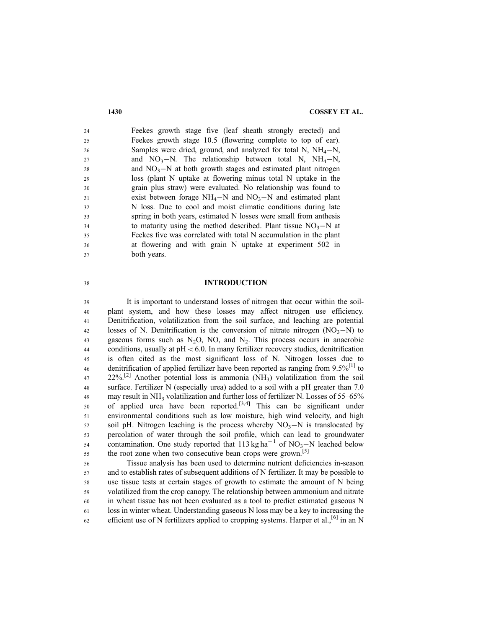Feekes growth stage five (leaf sheath strongly erected) and Feekes growth stage 10.5 (flowering complete to top of ear). Samples were dried, ground, and analyzed for total N,  $NH_4-N$ , and  $NO_3-N$ . The relationship between total N,  $NH_4-N$ , and  $NO<sub>3</sub>-N$  at both growth stages and estimated plant nitrogen loss (plant N uptake at flowering minus total N uptake in the grain plus straw) were evaluated. No relationship was found to exist between forage  $NH_4-N$  and  $NO_3-N$  and estimated plant N loss. Due to cool and moist climatic conditions during late spring in both years, estimated N losses were small from anthesis to maturity using the method described. Plant tissue  $NO<sub>3</sub>-N$  at Feekes five was correlated with total N accumulation in the plant at flowering and with grain N uptake at experiment 502 in both years. 24 25 26 27 28  $29$ 30 31 32 33 34 35 36 37

### INTRODUCTION

It is important to understand losses of nitrogen that occur within the soilplant system, and how these losses may affect nitrogen use efficiency. Denitrification, volatilization from the soil surface, and leaching are potential losses of N. Denitrification is the conversion of nitrate nitrogen  $(NO<sub>3</sub>-N)$  to gaseous forms such as  $N_2O$ , NO, and  $N_2$ . This process occurs in anaerobic conditions, usually at  $pH < 6.0$ . In many fertilizer recovery studies, denitrification is often cited as the most significant loss of N. Nitrogen losses due to denitrification of applied fertilizer have been reported as ranging from  $9.5\%$ <sup>[1]</sup> to  $22\%$ <sup>[2]</sup> Another potential loss is ammonia (NH<sub>3</sub>) volatilization from the soil surface. Fertilizer N (especially urea) added to a soil with a pH greater than 7.0 may result in  $NH_3$  volatilization and further loss of fertilizer N. Losses of 55–65% of applied urea have been reported.<sup>[3,4]</sup> This can be significant under environmental conditions such as low moisture, high wind velocity, and high soil pH. Nitrogen leaching is the process whereby  $NO<sub>3</sub>-N$  is translocated by percolation of water through the soil profile, which can lead to groundwater contamination. One study reported that  $113 \text{ kg ha}^{-1}$  of NO<sub>3</sub>-N leached below the root zone when two consecutive bean crops were grown.<sup>[5]</sup> 39 40 41 42 43 44 45 46 47 48 49 50 51 52 53 54 55

Tissue analysis has been used to determine nutrient deficiencies in-season and to establish rates of subsequent additions of N fertilizer. It may be possible to use tissue tests at certain stages of growth to estimate the amount of N being volatilized from the crop canopy. The relationship between ammonium and nitrate in wheat tissue has not been evaluated as a tool to predict estimated gaseous N loss in winter wheat. Understanding gaseous N loss may be a key to increasing the efficient use of N fertilizers applied to cropping systems. Harper et al.,<sup>[6]</sup> in an N 56 57 58 59 60 61 62

38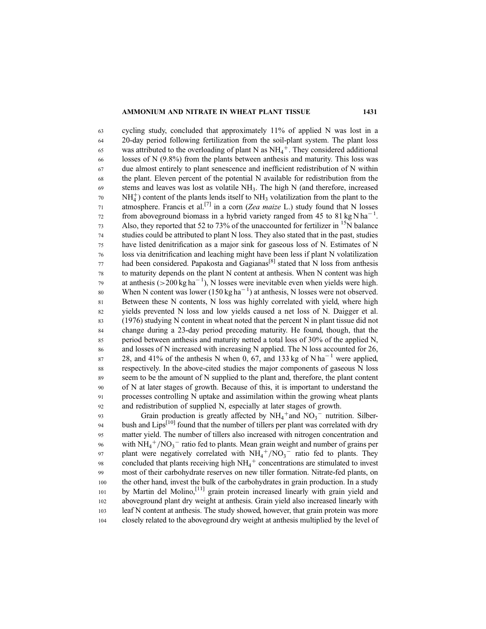### AMMONIUM AND NITRATE IN WHEAT PLANT TISSUE 1431

cycling study, concluded that approximately 11% of applied N was lost in a 20-day period following fertilization from the soil-plant system. The plant loss was attributed to the overloading of plant N as  $NH_4^+$ . They considered additional losses of N (9.8%) from the plants between anthesis and maturity. This loss was due almost entirely to plant senescence and inefficient redistribution of N within the plant. Eleven percent of the potential N available for redistribution from the stems and leaves was lost as volatile NH3. The high N (and therefore, increased  $NH<sub>4</sub><sup>+</sup>$ ) content of the plants lends itself to NH<sub>3</sub> volatilization from the plant to the atmosphere. Francis et al.<sup>[7]</sup> in a corn (Zea maize L.) study found that N losses from aboveground biomass in a hybrid variety ranged from 45 to 81 kg N ha<sup>-1</sup>. Also, they reported that 52 to 73% of the unaccounted for fertilizer in  $^{15}N$  balance studies could be attributed to plant N loss. They also stated that in the past, studies have listed denitrification as a major sink for gaseous loss of N. Estimates of N loss via denitrification and leaching might have been less if plant N volatilization had been considered. Papakosta and  $G$ agianas<sup>[8]</sup> stated that N loss from anthesis to maturity depends on the plant N content at anthesis. When N content was high at anthesis  $(>200 \text{ kg ha}^{-1})$ , N losses were inevitable even when yields were high. When N content was lower (150 kg ha<sup>-1</sup>) at anthesis, N losses were not observed. Between these N contents, N loss was highly correlated with yield, where high yields prevented N loss and low yields caused a net loss of N. Daigger et al. (1976) studying N content in wheat noted that the percent N in plant tissue did not change during a 23-day period preceding maturity. He found, though, that the period between anthesis and maturity netted a total loss of 30% of the applied N, and losses of N increased with increasing N applied. The N loss accounted for 26, 28, and 41% of the anthesis N when 0, 67, and 133 kg of N ha<sup>-1</sup> were applied, respectively. In the above-cited studies the major components of gaseous N loss seem to be the amount of N supplied to the plant and, therefore, the plant content of N at later stages of growth. Because of this, it is important to understand the processes controlling N uptake and assimilation within the growing wheat plants and redistribution of supplied N, especially at later stages of growth. 63 64 65 66 67 68 69 70 71 72 73 74 75 76 77 78 79 80 81 82 83 84 85 86 87 88 89 90 91 92

Grain production is greatly affected by  $NH_4^+$  and  $NO_3^-$  nutrition. Silberbush and Lips<sup>[10]</sup> found that the number of tillers per plant was correlated with dry matter yield. The number of tillers also increased with nitrogen concentration and with  $NH_4^+/NO_3^-$  ratio fed to plants. Mean grain weight and number of grains per plant were negatively correlated with  $NH_4^+/NO_3^-$  ratio fed to plants. They concluded that plants receiving high  $NH_4^+$  concentrations are stimulated to invest most of their carbohydrate reserves on new tiller formation. Nitrate-fed plants, on the other hand, invest the bulk of the carbohydrates in grain production. In a study by Martin del Molino,<sup>[11]</sup> grain protein increased linearly with grain yield and aboveground plant dry weight at anthesis. Grain yield also increased linearly with leaf N content at anthesis. The study showed, however, that grain protein was more closely related to the aboveground dry weight at anthesis multiplied by the level of 93 94 95 96 97 98 99 100 101 102 103 104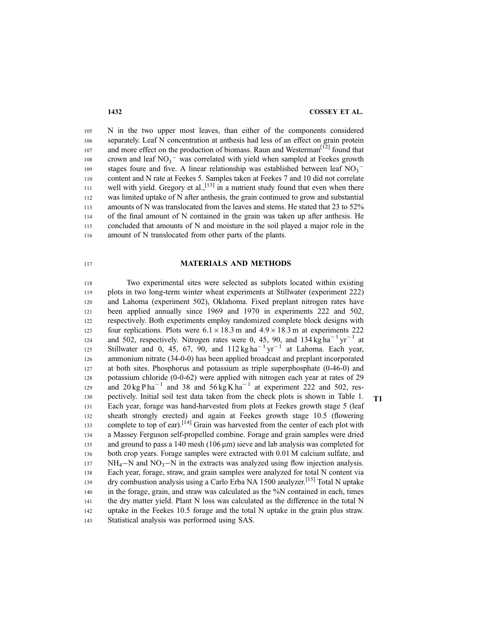N in the two upper most leaves, than either of the components considered separately. Leaf N concentration at anthesis had less of an effect on grain protein and more effect on the production of biomass. Raun and Westerman<sup>[12]</sup> found that crown and leaf  $NO_3$ <sup>-</sup> was correlated with yield when sampled at Feekes growth stages foure and five. A linear relationship was established between leaf  $NO<sub>3</sub>$ <sup>-</sup> content and N rate at Feekes 5. Samples taken at Feekes 7 and 10 did not correlate well with yield. Gregory et al.,  $\left[13\right]$  in a nutrient study found that even when there was limited uptake of N after anthesis, the grain continued to grow and substantial amounts of N was translocated from the leaves and stems. He stated that 23 to 52% of the final amount of N contained in the grain was taken up after anthesis. He concluded that amounts of N and moisture in the soil played a major role in the amount of N translocated from other parts of the plants. 105 106 107 108 109 110 111 112 113 114 115 116

### MATERIALS AND METHODS

Two experimental sites were selected as subplots located within existing plots in two long-term winter wheat experiments at Stillwater (experiment 222) and Lahoma (experiment 502), Oklahoma. Fixed preplant nitrogen rates have been applied annually since 1969 and 1970 in experiments 222 and 502, respectively. Both experiments employ randomized complete block designs with four replications. Plots were  $6.1 \times 18.3$  m and  $4.9 \times 18.3$  m at experiments 222 and 502, respectively. Nitrogen rates were 0, 45, 90, and  $134 \text{ kg ha}^{-1} \text{ yr}^{-1}$  at Stillwater and 0, 45, 67, 90, and  $112 \text{ kg ha}^{-1} \text{ yr}^{-1}$  at Lahoma. Each year, ammonium nitrate (34-0-0) has been applied broadcast and preplant incorporated at both sites. Phosphorus and potassium as triple superphosphate (0-46-0) and potassium chloride (0-0-62) were applied with nitrogen each year at rates of 29 and  $20 \text{ kg} \text{ P} \text{ ha}^{-1}$  and  $38$  and  $56 \text{ kg K} \text{ ha}^{-1}$  at experiment 222 and 502, respectively. Initial soil test data taken from the check plots is shown in Table 1.  $T1$ Each year, forage was hand-harvested from plots at Feekes growth stage 5 (leaf sheath strongly erected) and again at Feekes growth stage 10.5 (flowering complete to top of ear).<sup>[14]</sup> Grain was harvested from the center of each plot with a Massey Ferguson self-propelled combine. Forage and grain samples were dried and ground to pass a 140 mesh  $(106 \,\mu m)$  sieve and lab analysis was completed for both crop years. Forage samples were extracted with 0.01 M calcium sulfate, and  $NH_4-N$  and  $NO_3-N$  in the extracts was analyzed using flow injection analysis. Each year, forage, straw, and grain samples were analyzed for total N content via dry combustion analysis using a Carlo Erba NA 1500 analyzer.[15] Total N uptake in the forage, grain, and straw was calculated as the %N contained in each, times the dry matter yield. Plant N loss was calculated as the difference in the total N uptake in the Feekes 10.5 forage and the total N uptake in the grain plus straw. Statistical analysis was performed using SAS. 118 119 120 121 122 123 124 125 126 127 128 129 130 131 132 133 134 135 136 137 138 139 140 141 142 143

117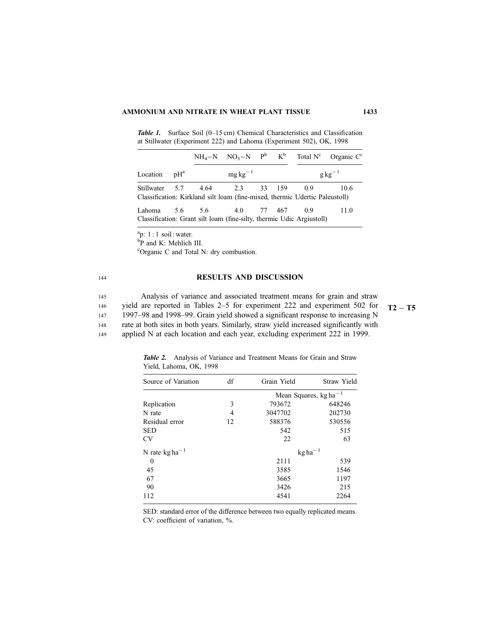Table 1. Surface Soil (0-15 cm) Chemical Characteristics and Classification at Stillwater (Experiment 222) and Lahoma (Experiment 502), OK, 1998

|          |                   |                                |               |  |                                                                                     | $NH_4-N$ $NO_3-N$ $P^b$ $K^b$ Total $N^c$ Organic $C^c$ |
|----------|-------------------|--------------------------------|---------------|--|-------------------------------------------------------------------------------------|---------------------------------------------------------|
| Location | $\rm{pH}^{\rm a}$ |                                | $mg\,kg^{-1}$ |  |                                                                                     | $g\text{kg}^{-1}$                                       |
|          |                   | Stillwater 5.7 4.64 2.3 33 159 |               |  | -0.9<br>Classification: Kirkland silt loam (fine-mixed, thermic Udertic Paleustoll) | 10.6                                                    |
| Lahoma   |                   | 5.6 5.6 4.0 77 467 0.9         |               |  | Classification: Grant silt loam (fine-silty, thermic Udic Argiustoll)               | 11.0                                                    |

 $a$ p: 1 : 1 soil : water.

144

148

<sup>b</sup>P and K: Mehlich III.

c Organic C and Total N: dry combustion.

### RESULTS AND DISCUSSION

Analysis of variance and associated treatment means for grain and straw yield are reported in Tables 2–5 for experiment 222 and experiment 502 for  $T2 - T5$ 1997–98 and 1998–99. Grain yield showed a significant response to increasing N 145 146 147

rate at both sites in both years. Similarly, straw yield increased significantly with

applied N at each location and each year, excluding experiment 222 in 1999. 149

| Source of Variation        | df | Grain Yield                | Straw Yield |  |
|----------------------------|----|----------------------------|-------------|--|
|                            |    | Mean Squares, $kg ha^{-1}$ |             |  |
| Replication                | 3  | 793672                     | 648246      |  |
| N rate                     | 4  | 3047702                    | 202730      |  |
| Residual error             | 12 | 588376                     | 530556      |  |
| <b>SED</b>                 |    | 542                        | 515         |  |
| <b>CV</b>                  |    | 22                         | 63          |  |
| N rate kg ha <sup>-1</sup> |    | $kg ha^{-1}$               |             |  |
| $\theta$                   |    | 2111                       | 539         |  |
| 45                         |    | 3585                       | 1546        |  |
| 67                         |    | 3665                       | 1197        |  |
| 90                         |    | 3426                       | 215         |  |
| 112                        |    | 4541                       | 2264        |  |

Table 2. Analysis of Variance and Treatment Means for Grain and Straw Yield, Lahoma, OK, 1998

SED: standard error of the difference between two equally replicated means. CV: coefficient of variation, %.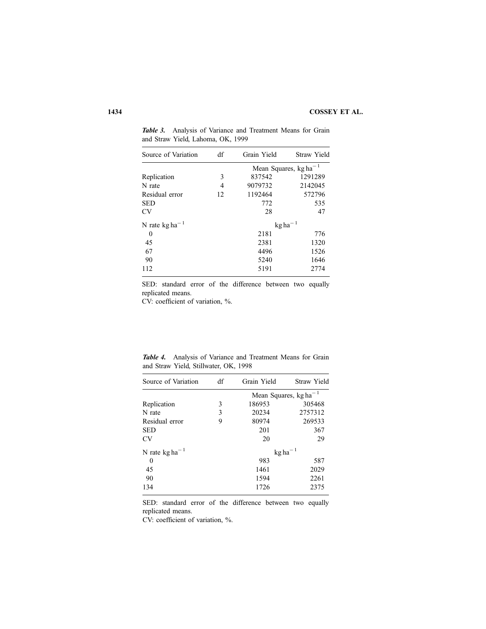| Source of Variation        | df | Grain Yield                  | Straw Yield |
|----------------------------|----|------------------------------|-------------|
|                            |    | Mean Squares, $kg ha^{-1}$   |             |
| Replication                | 3  | 837542                       | 1291289     |
| N rate                     | 4  | 9079732                      | 2142045     |
| Residual error             | 12 | 1192464                      | 572796      |
| <b>SED</b>                 |    | 772                          | 535         |
| CV                         |    | 28                           | 47          |
| N rate kg ha <sup>-1</sup> |    | $\text{kg}$ ha <sup>-1</sup> |             |
| 0                          |    | 2181                         | 776         |
| 45                         |    | 2381                         | 1320        |
| 67                         |    | 4496                         | 1526        |
| 90                         |    | 5240                         | 1646        |
| 112                        |    | 5191                         | 2774        |

Table 3. Analysis of Variance and Treatment Means for Grain and Straw Yield, Lahoma, OK, 1999

SED: standard error of the difference between two equally replicated means.

CV: coefficient of variation, %.

Table 4. Analysis of Variance and Treatment Means for Grain and Straw Yield, Stillwater, OK, 1998

| Source of Variation                 | df | Grain Yield                  | Straw Yield |
|-------------------------------------|----|------------------------------|-------------|
|                                     |    | Mean Squares, $kg ha^{-1}$   |             |
| Replication                         | 3  | 186953                       | 305468      |
| N rate                              | 3  | 20234                        | 2757312     |
| Residual error                      | 9  | 80974                        | 269533      |
| <b>SED</b>                          |    | 201                          | 367         |
| CV                                  |    | 20                           | 29          |
| N rate $\text{kg}$ ha <sup>-1</sup> |    | $\text{kg}$ ha <sup>-1</sup> |             |
| 0                                   |    | 983                          | 587         |
| 45                                  |    | 1461                         | 2029        |
| 90                                  |    | 1594                         | 2261        |
| 134                                 |    | 1726                         | 2375        |

SED: standard error of the difference between two equally replicated means.

CV: coefficient of variation, %.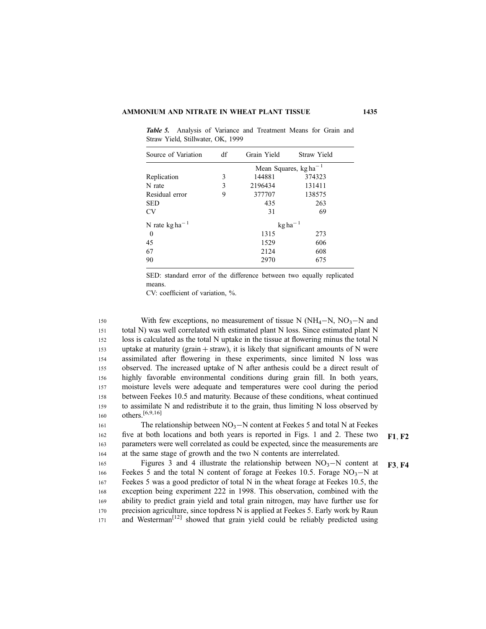Table 5. Analysis of Variance and Treatment Means for Grain and Straw Yield, Stillwater, OK, 1999

| Source of Variation        | df | Grain Yield                  | Straw Yield |  |
|----------------------------|----|------------------------------|-------------|--|
|                            |    | Mean Squares, $kg ha^{-1}$   |             |  |
| Replication                | 3  | 144881                       | 374323      |  |
| N rate                     | 3  | 2196434                      | 131411      |  |
| Residual error             | 9  | 377707                       | 138575      |  |
| <b>SED</b>                 |    | 435                          | 263         |  |
| <b>CV</b>                  |    | 31                           | 69          |  |
| N rate $\text{kg ha}^{-1}$ |    | $\text{kg}$ ha <sup>-1</sup> |             |  |
| 0                          |    | 1315                         | 273         |  |
| 45                         |    | 1529                         | 606         |  |
| 67                         |    | 2124                         | 608         |  |
| 90                         |    | 2970                         | 675         |  |

SED: standard error of the difference between two equally replicated means.

CV: coefficient of variation, %.

With few exceptions, no measurement of tissue N ( $NH_4-N$ ,  $NO_3-N$  and total N) was well correlated with estimated plant N loss. Since estimated plant N loss is calculated as the total N uptake in the tissue at flowering minus the total N uptake at maturity (grain  $+$  straw), it is likely that significant amounts of N were assimilated after flowering in these experiments, since limited N loss was observed. The increased uptake of N after anthesis could be a direct result of highly favorable environmental conditions during grain fill. In both years, moisture levels were adequate and temperatures were cool during the period between Feekes 10.5 and maturity. Because of these conditions, wheat continued to assimilate N and redistribute it to the grain, thus limiting N loss observed by others.[6,9,16] 150 151 152 153 154 155 156 157 158 159 160

The relationship between  $NO_3-N$  content at Feekes 5 and total N at Feekes five at both locations and both years is reported in Figs. 1 and 2. These two  $F1, F2$ parameters were well correlated as could be expected, since the measurements are at the same stage of growth and the two N contents are interrelated.

Figures 3 and 4 illustrate the relationship between  $NO<sub>3</sub>-N$  content at **F3**, **F4** Feekes 5 and the total N content of forage at Feekes 10.5. Forage  $NO<sub>3</sub> - N$  at Feekes 5 was a good predictor of total N in the wheat forage at Feekes 10.5, the exception being experiment 222 in 1998. This observation, combined with the ability to predict grain yield and total grain nitrogen, may have further use for precision agriculture, since topdress N is applied at Feekes 5. Early work by Raun and Westerman<sup>[12]</sup> showed that grain yield could be reliably predicted using 165 166 167 168 169 170 171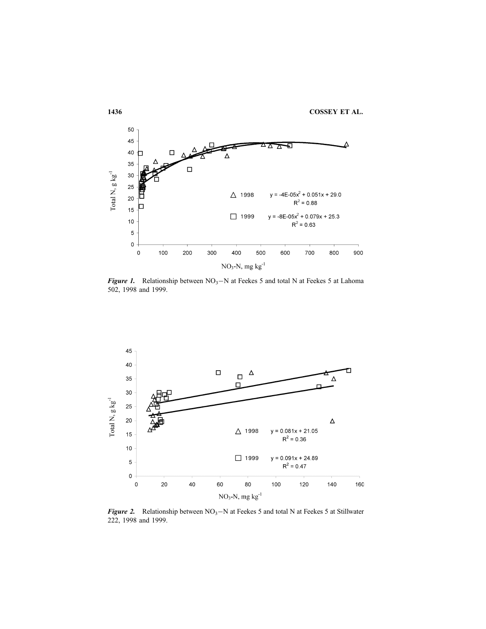

**Figure 1.** Relationship between  $NO_3-N$  at Feekes 5 and total N at Feekes 5 at Lahoma 502, 1998 and 1999.



Figure 2. Relationship between  $NO_3-N$  at Feekes 5 and total N at Feekes 5 at Stillwater 222, 1998 and 1999.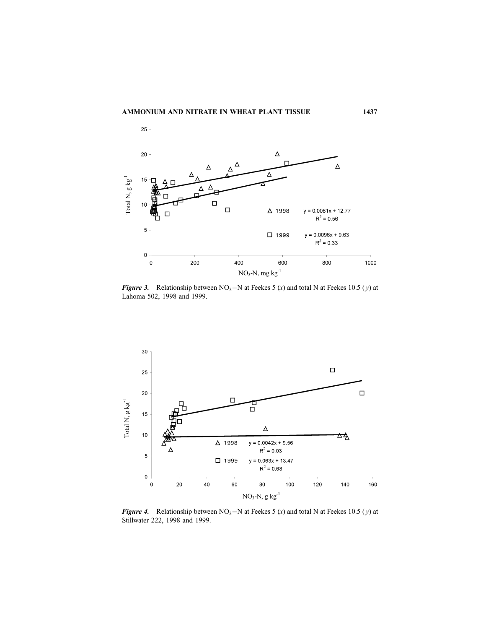

**Figure 3.** Relationship between  $NO_3-N$  at Feekes 5 (x) and total N at Feekes 10.5 (y) at Lahoma 502, 1998 and 1999.



**Figure 4.** Relationship between  $NO_3-N$  at Feekes 5 (x) and total N at Feekes 10.5 (y) at Stillwater 222, 1998 and 1999.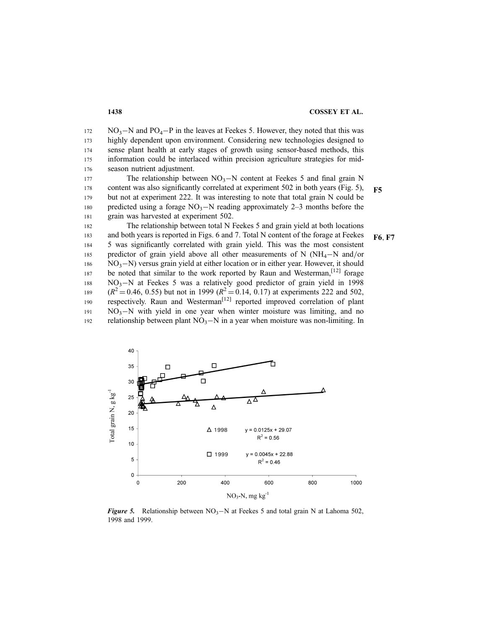$NO<sub>3</sub>-N$  and  $PO<sub>4</sub>-P$  in the leaves at Feekes 5. However, they noted that this was highly dependent upon environment. Considering new technologies designed to sense plant health at early stages of growth using sensor-based methods, this information could be interlaced within precision agriculture strategies for midseason nutrient adjustment. 172 173 174 175 176

The relationship between  $NO<sub>3</sub>–N$  content at Feekes 5 and final grain N content was also significantly correlated at experiment 502 in both years (Fig. 5),  $F5$ but not at experiment 222. It was interesting to note that total grain N could be predicted using a forage  $NO<sub>3</sub>–N$  reading approximately 2–3 months before the grain was harvested at experiment 502. 177 178 179 180 181

The relationship between total N Feekes 5 and grain yield at both locations and both years is reported in Figs. 6 and 7. Total N content of the forage at Feekes  $F6. F7$ 5 was significantly correlated with grain yield. This was the most consistent predictor of grain yield above all other measurements of N ( $NH_4-N$  and/or  $NO<sub>3</sub>-N$ ) versus grain yield at either location or in either year. However, it should be noted that similar to the work reported by Raun and Westerman,<sup>[12]</sup> forage  $NO<sub>3</sub>–N$  at Feekes 5 was a relatively good predictor of grain yield in 1998  $(R^2 = 0.46, 0.55)$  but not in 1999  $(R^2 = 0.14, 0.17)$  at experiments 222 and 502, respectively. Raun and Westerman<sup>[12]</sup> reported improved correlation of plant  $NO<sub>3</sub>-N$  with yield in one year when winter moisture was limiting, and no relationship between plant  $NO_3-N$  in a year when moisture was non-limiting. In 182 183 184 185 186 187 188 189 190 191 192



**Figure 5.** Relationship between  $NO<sub>3</sub>–N$  at Feekes 5 and total grain N at Lahoma 502, 1998 and 1999.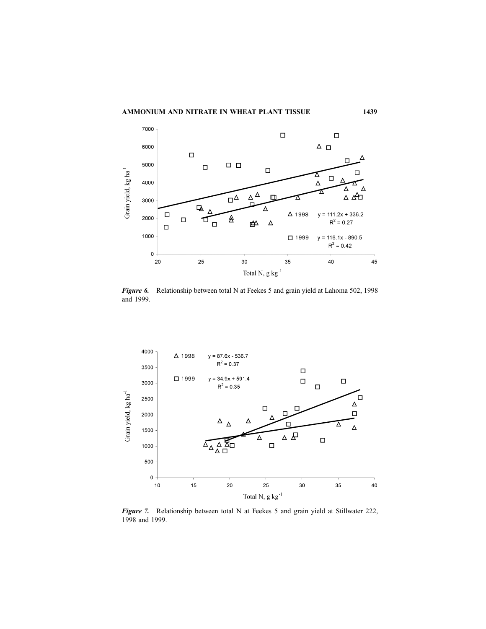

Figure 6. Relationship between total N at Feekes 5 and grain yield at Lahoma 502, 1998 and 1999.



Figure 7. Relationship between total N at Feekes 5 and grain yield at Stillwater 222, 1998 and 1999.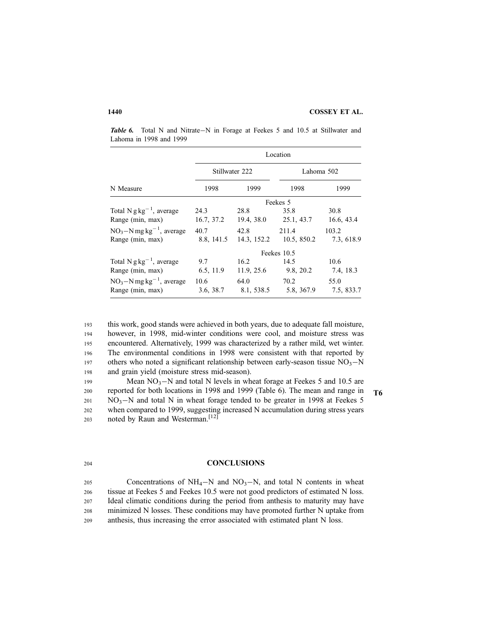Table 6. Total N and Nitrate-N in Forage at Feekes 5 and 10.5 at Stillwater and Lahoma in 1998 and 1999

|                                        | Location    |                |                        |            |  |  |
|----------------------------------------|-------------|----------------|------------------------|------------|--|--|
|                                        |             | Stillwater 222 | Lahoma 502             |            |  |  |
| N Measure                              | 1998        | 1999           | 1998                   | 1999       |  |  |
|                                        |             |                | Feekes 5               |            |  |  |
| Total N $g\,kg^{-1}$ , average         | 24.3        | 28.8           | 35.8                   | 30.8       |  |  |
| Range (min, max)                       | 16.7, 37.2  | 19.4, 38.0     | 25.1, 43.7             | 16.6, 43.4 |  |  |
| $NO3–N mg kg-1$ , average              | 40.7        | 42.8           | 211.4                  | 103.2      |  |  |
| Range (min, max)                       | 8.8, 141.5  | 14.3, 152.2    | 10.5, 850.2            | 7.3, 618.9 |  |  |
|                                        | Feekes 10.5 |                |                        |            |  |  |
| Total $N g kg^{-1}$ , average          | 9.7         | 16.2           | - 14.5                 | 10.6       |  |  |
| Range (min, max)                       | 6.5, 11.9   |                | $11.9, 25.6$ 9.8, 20.2 | 7.4, 18.3  |  |  |
| $NO_3-N$ mg kg <sup>-1</sup> , average | 10.6        | 64.0           | 70.2                   | 55.0       |  |  |
| Range (min, max)                       | 3.6, 38.7   |                | 8.1, 538.5 5.8, 367.9  | 7.5, 833.7 |  |  |

this work, good stands were achieved in both years, due to adequate fall moisture, however, in 1998, mid-winter conditions were cool, and moisture stress was encountered. Alternatively, 1999 was characterized by a rather mild, wet winter. The environmental conditions in 1998 were consistent with that reported by others who noted a significant relationship between early-season tissue  $NO<sub>3</sub>–N$ and grain yield (moisture stress mid-season). 193 194 195 196 197 198

Mean  $NO_3-N$  and total N levels in wheat forage at Feekes 5 and 10.5 are reported for both locations in 1998 and 1999 (Table 6). The mean and range in  $T_6$  $NO<sub>3</sub>-N$  and total N in wheat forage tended to be greater in 1998 at Feekes 5 when compared to 1999, suggesting increased N accumulation during stress years noted by Raun and Westerman.<sup>[12]</sup> 199 200 201 202 203

### 204

### **CONCLUSIONS**

Concentrations of  $NH_4-N$  and  $NO_3-N$ , and total N contents in wheat tissue at Feekes 5 and Feekes 10.5 were not good predictors of estimated N loss. Ideal climatic conditions during the period from anthesis to maturity may have minimized N losses. These conditions may have promoted further N uptake from anthesis, thus increasing the error associated with estimated plant N loss. 205 206 207 208 209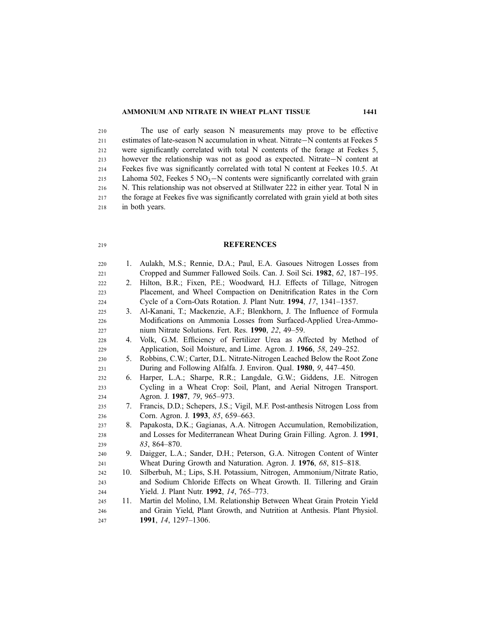### AMMONIUM AND NITRATE IN WHEAT PLANT TISSUE 1441

219

The use of early season N measurements may prove to be effective estimates of late-season N accumulation in wheat. Nitrate-N contents at Feekes 5 were significantly correlated with total N contents of the forage at Feekes 5, however the relationship was not as good as expected. Nitrate-N content at Feekes five was significantly correlated with total N content at Feekes 10.5. At Lahoma 502, Feekes 5  $NO<sub>3</sub> - N$  contents were significantly correlated with grain N. This relationship was not observed at Stillwater 222 in either year. Total N in the forage at Feekes five was significantly correlated with grain yield at both sites in both years. 210 211 212 213 214 215 216 217 218

# **REFERENCES**

| 220 | 1.  | Aulakh, M.S.; Rennie, D.A.; Paul, E.A. Gasoues Nitrogen Losses from         |
|-----|-----|-----------------------------------------------------------------------------|
| 221 |     | Cropped and Summer Fallowed Soils. Can. J. Soil Sci. 1982, 62, 187-195.     |
| 222 | 2.  | Hilton, B.R.; Fixen, P.E.; Woodward, H.J. Effects of Tillage, Nitrogen      |
| 223 |     | Placement, and Wheel Compaction on Denitrification Rates in the Corn        |
| 224 |     | Cycle of a Corn-Oats Rotation. J. Plant Nutr. 1994, 17, 1341-1357.          |
| 225 | 3.  | Al-Kanani, T.; Mackenzie, A.F.; Blenkhorn, J. The Influence of Formula      |
| 226 |     | Modifications on Ammonia Losses from Surfaced-Applied Urea-Ammo-            |
| 227 |     | nium Nitrate Solutions. Fert. Res. 1990, 22, 49–59.                         |
| 228 | 4.  | Volk, G.M. Efficiency of Fertilizer Urea as Affected by Method of           |
| 229 |     | Application, Soil Moisture, and Lime. Agron. J. 1966, 58, 249–252.          |
| 230 | 5.  | Robbins, C.W.; Carter, D.L. Nitrate-Nitrogen Leached Below the Root Zone    |
| 231 |     | During and Following Alfalfa. J. Environ. Qual. 1980, 9, 447-450.           |
| 232 | 6.  | Harper, L.A.; Sharpe, R.R.; Langdale, G.W.; Giddens, J.E. Nitrogen          |
| 233 |     | Cycling in a Wheat Crop: Soil, Plant, and Aerial Nitrogen Transport.        |
| 234 |     | Agron. J. 1987, 79, 965-973.                                                |
| 235 | 7.  | Francis, D.D.; Schepers, J.S.; Vigil, M.F. Post-anthesis Nitrogen Loss from |
| 236 |     | Corn. Agron. J. 1993, 85, 659–663.                                          |
| 237 | 8.  | Papakosta, D.K.; Gagianas, A.A. Nitrogen Accumulation, Remobilization,      |
| 238 |     | and Losses for Mediterranean Wheat During Grain Filling. Agron. J. 1991,    |
| 239 |     | $83,864 - 870.$                                                             |
| 240 | 9.  | Daigger, L.A.; Sander, D.H.; Peterson, G.A. Nitrogen Content of Winter      |
| 241 |     | Wheat During Growth and Naturation. Agron. J. 1976, 68, 815–818.            |
| 242 | 10. | Silberbuh, M.; Lips, S.H. Potassium, Nitrogen, Ammonium/Nitrate Ratio,      |
| 243 |     | and Sodium Chloride Effects on Wheat Growth. II. Tillering and Grain        |
| 244 |     | Yield. J. Plant Nutr. 1992, 14, 765-773.                                    |
| 245 | 11. | Martin del Molino, I.M. Relationship Between Wheat Grain Protein Yield      |
| 246 |     | and Grain Yield, Plant Growth, and Nutrition at Anthesis. Plant Physiol.    |
| 247 |     | 1991, 14, 1297–1306.                                                        |
|     |     |                                                                             |